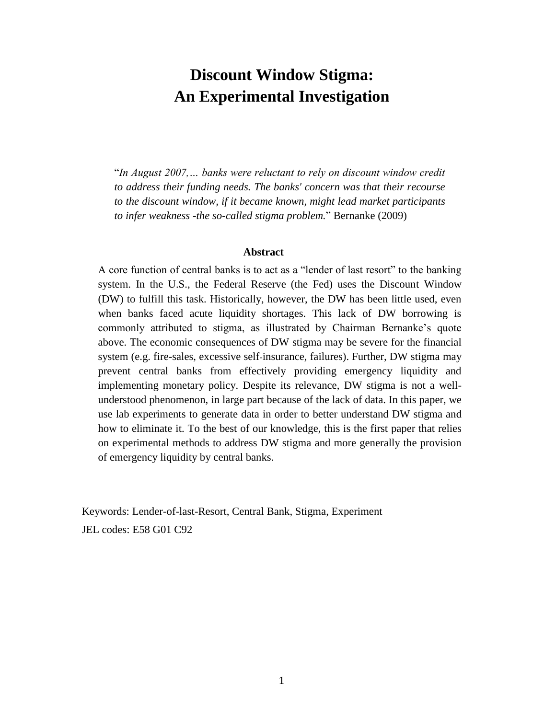# **Discount Window Stigma: An Experimental Investigation**

"*In August 2007,… banks were reluctant to rely on discount window credit to address their funding needs. The banks' concern was that their recourse to the discount window, if it became known, might lead market participants to infer weakness -the so-called stigma problem.*" Bernanke (2009)

#### **Abstract**

A core function of central banks is to act as a "lender of last resort" to the banking system. In the U.S., the Federal Reserve (the Fed) uses the Discount Window (DW) to fulfill this task. Historically, however, the DW has been little used, even when banks faced acute liquidity shortages. This lack of DW borrowing is commonly attributed to stigma, as illustrated by Chairman Bernanke's quote above. The economic consequences of DW stigma may be severe for the financial system (e.g. fire-sales, excessive self-insurance, failures). Further, DW stigma may prevent central banks from effectively providing emergency liquidity and implementing monetary policy. Despite its relevance, DW stigma is not a wellunderstood phenomenon, in large part because of the lack of data. In this paper, we use lab experiments to generate data in order to better understand DW stigma and how to eliminate it. To the best of our knowledge, this is the first paper that relies on experimental methods to address DW stigma and more generally the provision of emergency liquidity by central banks.

Keywords: Lender-of-last-Resort, Central Bank, Stigma, Experiment JEL codes: E58 G01 C92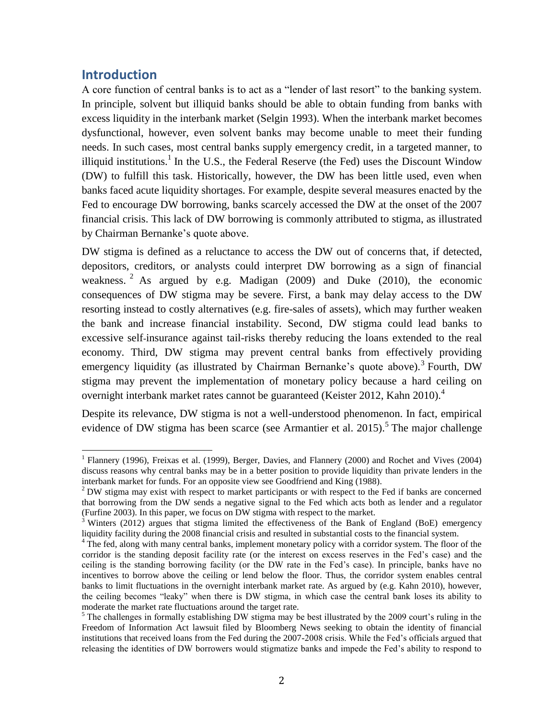## **Introduction**

 $\overline{a}$ 

A core function of central banks is to act as a "lender of last resort" to the banking system. In principle, solvent but illiquid banks should be able to obtain funding from banks with excess liquidity in the interbank market (Selgin 1993). When the interbank market becomes dysfunctional, however, even solvent banks may become unable to meet their funding needs. In such cases, most central banks supply emergency credit, in a targeted manner, to illiquid institutions.<sup>1</sup> In the U.S., the Federal Reserve (the Fed) uses the Discount Window (DW) to fulfill this task. Historically, however, the DW has been little used, even when banks faced acute liquidity shortages. For example, despite several measures enacted by the Fed to encourage DW borrowing, banks scarcely accessed the DW at the onset of the 2007 financial crisis. This lack of DW borrowing is commonly attributed to stigma, as illustrated by Chairman Bernanke's quote above.

DW stigma is defined as a reluctance to access the DW out of concerns that, if detected, depositors, creditors, or analysts could interpret DW borrowing as a sign of financial weakness. <sup>2</sup> As argued by e.g. Madigan (2009) and Duke (2010), the economic consequences of DW stigma may be severe. First, a bank may delay access to the DW resorting instead to costly alternatives (e.g. fire-sales of assets), which may further weaken the bank and increase financial instability. Second, DW stigma could lead banks to excessive self-insurance against tail-risks thereby reducing the loans extended to the real economy. Third, DW stigma may prevent central banks from effectively providing emergency liquidity (as illustrated by Chairman Bernanke's quote above).<sup>3</sup> Fourth, DW stigma may prevent the implementation of monetary policy because a hard ceiling on overnight interbank market rates cannot be guaranteed (Keister 2012, Kahn 2010).<sup>4</sup>

Despite its relevance, DW stigma is not a well-understood phenomenon. In fact, empirical evidence of DW stigma has been scarce (see Armantier et al. 2015).<sup>5</sup> The major challenge

<sup>&</sup>lt;sup>1</sup> Flannery (1996), Freixas et al. (1999), Berger, Davies, and Flannery (2000) and Rochet and Vives (2004) discuss reasons why central banks may be in a better position to provide liquidity than private lenders in the interbank market for funds. For an opposite view see Goodfriend and King (1988).

 $2$  DW stigma may exist with respect to market participants or with respect to the Fed if banks are concerned that borrowing from the DW sends a negative signal to the Fed which acts both as lender and a regulator (Furfine 2003). In this paper, we focus on DW stigma with respect to the market.

<sup>&</sup>lt;sup>3</sup> Winters (2012) argues that stigma limited the effectiveness of the Bank of England (BoE) emergency liquidity facility during the 2008 financial crisis and resulted in substantial costs to the financial system.

<sup>&</sup>lt;sup>4</sup> The fed, along with many central banks, implement monetary policy with a corridor system. The floor of the corridor is the standing deposit facility rate (or the interest on excess reserves in the Fed's case) and the ceiling is the standing borrowing facility (or the DW rate in the Fed's case). In principle, banks have no incentives to borrow above the ceiling or lend below the floor. Thus, the corridor system enables central banks to limit fluctuations in the overnight interbank market rate. As argued by (e.g. Kahn 2010), however, the ceiling becomes "leaky" when there is DW stigma, in which case the central bank loses its ability to moderate the market rate fluctuations around the target rate.

<sup>&</sup>lt;sup>5</sup> The challenges in formally establishing DW stigma may be best illustrated by the 2009 court's ruling in the Freedom of Information Act lawsuit filed by Bloomberg News seeking to obtain the identity of financial institutions that received loans from the Fed during the 2007-2008 crisis. While the Fed's officials argued that releasing the identities of DW borrowers would stigmatize banks and impede the Fed's ability to respond to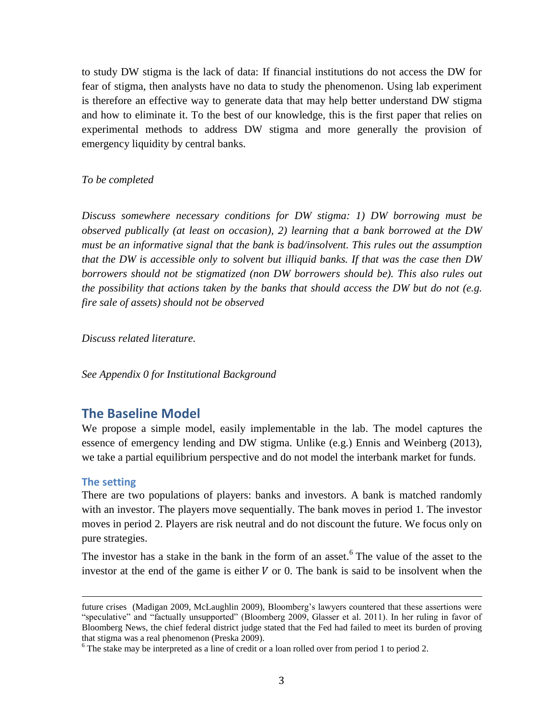to study DW stigma is the lack of data: If financial institutions do not access the DW for fear of stigma, then analysts have no data to study the phenomenon. Using lab experiment is therefore an effective way to generate data that may help better understand DW stigma and how to eliminate it. To the best of our knowledge, this is the first paper that relies on experimental methods to address DW stigma and more generally the provision of emergency liquidity by central banks.

#### *To be completed*

*Discuss somewhere necessary conditions for DW stigma: 1) DW borrowing must be observed publically (at least on occasion), 2) learning that a bank borrowed at the DW must be an informative signal that the bank is bad/insolvent. This rules out the assumption that the DW is accessible only to solvent but illiquid banks. If that was the case then DW borrowers should not be stigmatized (non DW borrowers should be). This also rules out the possibility that actions taken by the banks that should access the DW but do not (e.g. fire sale of assets) should not be observed*

*Discuss related literature.* 

*See Appendix 0 for Institutional Background*

## **The Baseline Model**

We propose a simple model, easily implementable in the lab. The model captures the essence of emergency lending and DW stigma. Unlike (e.g.) Ennis and Weinberg (2013), we take a partial equilibrium perspective and do not model the interbank market for funds.

### **The setting**

 $\overline{a}$ 

There are two populations of players: banks and investors. A bank is matched randomly with an investor. The players move sequentially. The bank moves in period 1. The investor moves in period 2. Players are risk neutral and do not discount the future. We focus only on pure strategies.

The investor has a stake in the bank in the form of an asset.<sup>6</sup> The value of the asset to the investor at the end of the game is either  $V$  or 0. The bank is said to be insolvent when the

future crises (Madigan 2009, McLaughlin 2009), Bloomberg's lawyers countered that these assertions were "speculative" and "factually unsupported" (Bloomberg 2009, Glasser et al. 2011). In her ruling in favor of Bloomberg News, the chief federal district judge stated that the Fed had failed to meet its burden of proving that stigma was a real phenomenon (Preska 2009).

<sup>&</sup>lt;sup>6</sup> The stake may be interpreted as a line of credit or a loan rolled over from period 1 to period 2.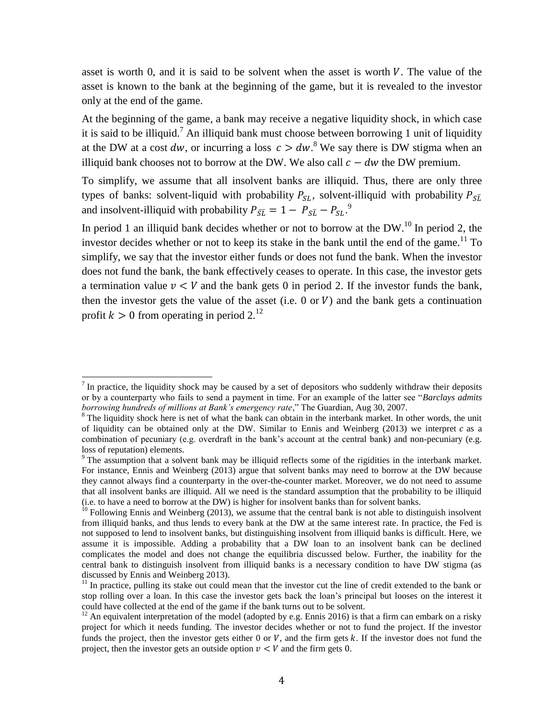asset is worth 0, and it is said to be solvent when the asset is worth  $V$ . The value of the asset is known to the bank at the beginning of the game, but it is revealed to the investor only at the end of the game.

At the beginning of the game, a bank may receive a negative liquidity shock, in which case it is said to be illiquid.<sup>7</sup> An illiquid bank must choose between borrowing 1 unit of liquidity at the DW at a cost dw, or incurring a loss  $c > dw$ .<sup>8</sup> We say there is DW stigma when an illiquid bank chooses not to borrow at the DW. We also call  $c - dw$  the DW premium.

To simplify, we assume that all insolvent banks are illiquid. Thus, there are only three types of banks: solvent-liquid with probability  $P_{SL}$ , solvent-illiquid with probability  $P_{SL}$ and insolvent-illiquid with probability  $P_{\overline{S}\overline{L}} = 1 - P_{\overline{S}\overline{L}} - P_{\overline{S}\overline{L}}$ .

In period 1 an illiquid bank decides whether or not to borrow at the DW.<sup>10</sup> In period 2, the investor decides whether or not to keep its stake in the bank until the end of the game.<sup>11</sup> To simplify, we say that the investor either funds or does not fund the bank. When the investor does not fund the bank, the bank effectively ceases to operate. In this case, the investor gets a termination value  $v < V$  and the bank gets 0 in period 2. If the investor funds the bank, then the investor gets the value of the asset (i.e. 0 or  $V$ ) and the bank gets a continuation profit  $k > 0$  from operating in period 2.<sup>12</sup>

 $\overline{a}$ 

 $<sup>7</sup>$  In practice, the liquidity shock may be caused by a set of depositors who suddenly withdraw their deposits</sup> or by a counterparty who fails to send a payment in time. For an example of the latter see "*Barclays admits borrowing hundreds of millions at Bank's emergency rate*," The Guardian, Aug 30, 2007.

<sup>&</sup>lt;sup>8</sup> The liquidity shock here is net of what the bank can obtain in the interbank market. In other words, the unit of liquidity can be obtained only at the DW. Similar to Ennis and Weinberg  $(2013)$  we interpret c as a combination of pecuniary (e.g. overdraft in the bank's account at the central bank) and non-pecuniary (e.g. loss of reputation) elements.

<sup>&</sup>lt;sup>9</sup> The assumption that a solvent bank may be illiquid reflects some of the rigidities in the interbank market. For instance, Ennis and Weinberg (2013) argue that solvent banks may need to borrow at the DW because they cannot always find a counterparty in the over-the-counter market. Moreover, we do not need to assume that all insolvent banks are illiquid. All we need is the standard assumption that the probability to be illiquid (i.e. to have a need to borrow at the DW) is higher for insolvent banks than for solvent banks.

 $10$  Following Ennis and Weinberg (2013), we assume that the central bank is not able to distinguish insolvent from illiquid banks, and thus lends to every bank at the DW at the same interest rate. In practice, the Fed is not supposed to lend to insolvent banks, but distinguishing insolvent from illiquid banks is difficult. Here, we assume it is impossible. Adding a probability that a DW loan to an insolvent bank can be declined complicates the model and does not change the equilibria discussed below. Further, the inability for the central bank to distinguish insolvent from illiquid banks is a necessary condition to have DW stigma (as discussed by Ennis and Weinberg 2013).

<sup>&</sup>lt;sup>11</sup> In practice, pulling its stake out could mean that the investor cut the line of credit extended to the bank or stop rolling over a loan. In this case the investor gets back the loan's principal but looses on the interest it could have collected at the end of the game if the bank turns out to be solvent.

<sup>&</sup>lt;sup>12</sup> An equivalent interpretation of the model (adopted by e.g. Ennis 2016) is that a firm can embark on a risky project for which it needs funding. The investor decides whether or not to fund the project. If the investor funds the project, then the investor gets either  $0$  or  $V$ , and the firm gets  $k$ . If the investor does not fund the project, then the investor gets an outside option  $v < V$  and the firm gets 0.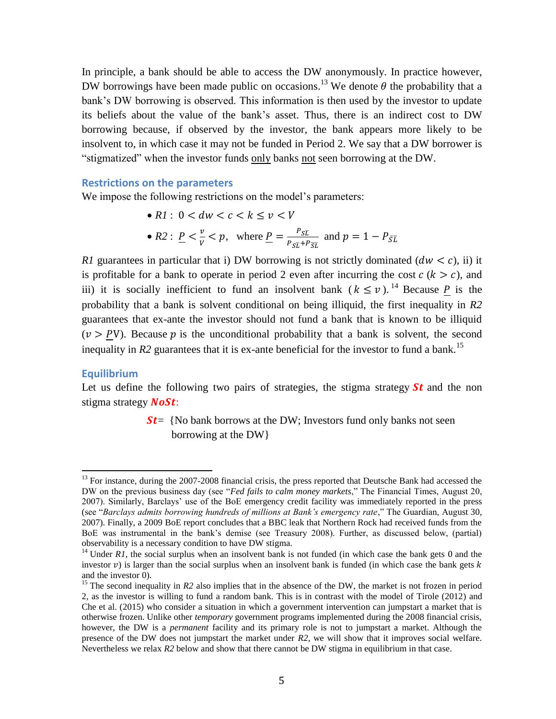In principle, a bank should be able to access the DW anonymously. In practice however, DW borrowings have been made public on occasions.<sup>13</sup> We denote  $\theta$  the probability that a bank's DW borrowing is observed. This information is then used by the investor to update its beliefs about the value of the bank's asset. Thus, there is an indirect cost to DW borrowing because, if observed by the investor, the bank appears more likely to be insolvent to, in which case it may not be funded in Period 2. We say that a DW borrower is "stigmatized" when the investor funds only banks not seen borrowing at the DW.

#### **Restrictions on the parameters**

We impose the following restrictions on the model's parameters:

•  $R1: 0 < dw < c < k \le v < V$ •  $R2: P < \frac{v}{v}$  $\frac{v}{V}$  < p, where  $\frac{P}{P} = \frac{P}{P_{ST}}$  $\frac{r_{SL}}{P_{ST}+P_{ST}}$  and

*R1* guarantees in particular that i) DW borrowing is not strictly dominated  $(dw < c)$ , ii) it is profitable for a bank to operate in period 2 even after incurring the cost  $c (k > c)$ , and iii) it is socially inefficient to fund an insolvent bank  $(k \le v)$ .<sup>14</sup> Because P is the probability that a bank is solvent conditional on being illiquid, the first inequality in *R2* guarantees that ex-ante the investor should not fund a bank that is known to be illiquid  $(v > PV)$ . Because p is the unconditional probability that a bank is solvent, the second inequality in  $R2$  guarantees that it is ex-ante beneficial for the investor to fund a bank.<sup>15</sup>

### **Equilibrium**

 $\overline{a}$ 

Let us define the following two pairs of strategies, the stigma strategy  $St$  and the non stigma strategy  $\textit{NoSt}:$ 

> $St$  {No bank borrows at the DW; Investors fund only banks not seen borrowing at the DW}

<sup>&</sup>lt;sup>13</sup> For instance, during the 2007-2008 financial crisis, the press reported that Deutsche Bank had accessed the DW on the previous business day (see "*Fed fails to calm money markets*," The Financial Times, August 20, 2007). Similarly, Barclays' use of the BoE emergency credit facility was immediately reported in the press (see "*Barclays admits borrowing hundreds of millions at Bank's emergency rate*," The Guardian, August 30, 2007). Finally, a 2009 BoE report concludes that a BBC leak that Northern Rock had received funds from the BoE was instrumental in the bank's demise (see Treasury 2008). Further, as discussed below, (partial) observability is a necessary condition to have DW stigma.

<sup>&</sup>lt;sup>14</sup> Under *R1*, the social surplus when an insolvent bank is not funded (in which case the bank gets 0 and the investor  $v$ ) is larger than the social surplus when an insolvent bank is funded (in which case the bank gets  $k$ and the investor 0)

<sup>&</sup>lt;sup>15</sup> The second inequality in *R2* also implies that in the absence of the DW, the market is not frozen in period 2, as the investor is willing to fund a random bank. This is in contrast with the model of Tirole (2012) and Che et al. (2015) who consider a situation in which a government intervention can jumpstart a market that is otherwise frozen. Unlike other *temporary* government programs implemented during the 2008 financial crisis, however, the DW is a *permanent* facility and its primary role is not to jumpstart a market. Although the presence of the DW does not jumpstart the market under *R2*, we will show that it improves social welfare. Nevertheless we relax *R2* below and show that there cannot be DW stigma in equilibrium in that case.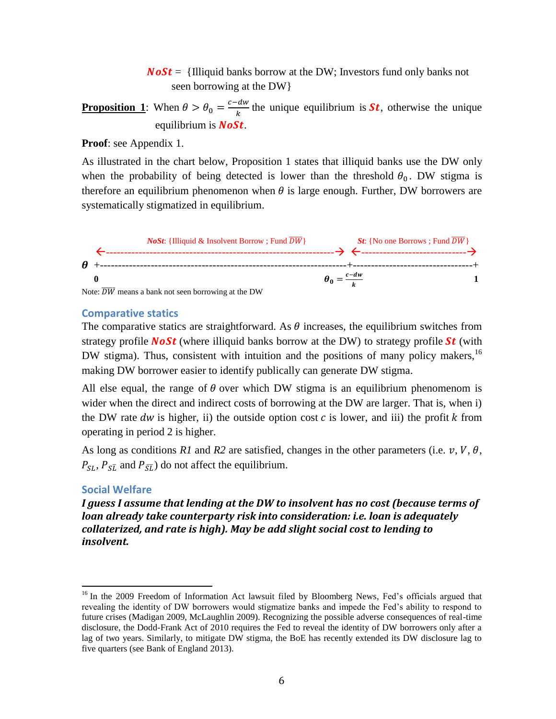**Illiquid banks borrow at the DW; Investors fund only banks not** seen borrowing at the DW}

**Proposition 1**: When  $\theta > \theta_0 = \frac{c}{c}$  $\frac{du}{k}$  the unique equilibrium is **St**, otherwise the unique equilibrium is  $\textit{NoSt.}$ 

**Proof**: see Appendix 1.

As illustrated in the chart below, Proposition 1 states that illiquid banks use the DW only when the probability of being detected is lower than the threshold  $\theta_0$ . DW stigma is therefore an equilibrium phenomenon when  $\theta$  is large enough. Further, DW borrowers are systematically stigmatized in equilibrium.



#### **Comparative statics**

The comparative statics are straightforward. As  $\theta$  increases, the equilibrium switches from strategy profile **NoSt** (where illiquid banks borrow at the DW) to strategy profile **St** (with DW stigma). Thus, consistent with intuition and the positions of many policy makers,  $16$ making DW borrower easier to identify publically can generate DW stigma.

All else equal, the range of  $\theta$  over which DW stigma is an equilibrium phenomenom is wider when the direct and indirect costs of borrowing at the DW are larger. That is, when i) the DW rate dw is higher, ii) the outside option cost  $c$  is lower, and iii) the profit k from operating in period 2 is higher.

As long as conditions  $R1$  and  $R2$  are satisfied, changes in the other parameters (i.e.  $v, V, \theta$ ,  $P_{SL}$ ,  $P_{S\overline{L}}$  and  $P_{\overline{S}\overline{L}}$  do not affect the equilibrium.

### **Social Welfare**

 $\overline{a}$ 

*I guess I assume that lending at the DW to insolvent has no cost (because terms of loan already take counterparty risk into consideration: i.e. loan is adequately collaterized, and rate is high). May be add slight social cost to lending to insolvent.* 

<sup>&</sup>lt;sup>16</sup> In the 2009 Freedom of Information Act lawsuit filed by Bloomberg News, Fed's officials argued that revealing the identity of DW borrowers would stigmatize banks and impede the Fed's ability to respond to future crises (Madigan 2009, McLaughlin 2009). Recognizing the possible adverse consequences of real-time disclosure, the Dodd-Frank Act of 2010 requires the Fed to reveal the identity of DW borrowers only after a lag of two years. Similarly, to mitigate DW stigma, the BoE has recently extended its DW disclosure lag to five quarters (see Bank of England 2013).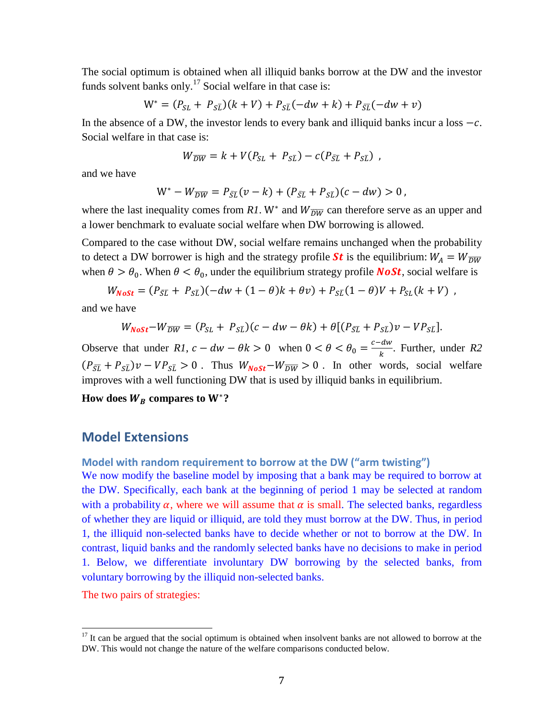The social optimum is obtained when all illiquid banks borrow at the DW and the investor funds solvent banks only.<sup>17</sup> Social welfare in that case is:

$$
W^* = (P_{SL} + P_{S\overline{L}})(k + V) + P_{S\overline{L}}(-dw + k) + P_{\overline{S}\overline{L}}(-dw + v)
$$

In the absence of a DW, the investor lends to every bank and illiquid banks incur a loss  $-c$ . Social welfare in that case is:

$$
W_{\overline{DW}} = k + V(P_{SL} + P_{S\overline{L}}) - c(P_{\overline{S}\overline{L}} + P_{S\overline{L}}),
$$

and we have

$$
W^* - W_{\overline{DW}} = P_{\bar{S}\bar{L}}(v - k) + (P_{\bar{S}\bar{L}} + P_{S\bar{L}})(c - dw) > 0,
$$

where the last inequality comes from R1. W<sup>\*</sup> and  $W_{\overline{DW}}$  can therefore serve as an upper and a lower benchmark to evaluate social welfare when DW borrowing is allowed.

Compared to the case without DW, social welfare remains unchanged when the probability to detect a DW borrower is high and the strategy profile **St** is the equilibrium:  $W_A = W_{\overline{DW}}$ when  $\theta > \theta_0$ . When  $\theta < \theta_0$ , under the equilibrium strategy profile **NoSt**, social welfare is

$$
W_{Noft} = (P_{\bar{S}\bar{L}} + P_{S\bar{L}})(-dw + (1 - \theta)k + \theta v) + P_{S\bar{L}}(1 - \theta)V + P_{SL}(k + V) ,
$$

and we have

$$
W_{Nost}-W_{\overline{DW}}=(P_{SL}+P_{S\overline{L}})(c-dw-\theta k)+\theta[(P_{\overline{S}\overline{L}}+P_{S\overline{L}})v-VP_{S\overline{L}}].
$$

Observe that under *R1*,  $c - dw - \theta k > 0$  when  $0 < \theta < \theta_0 = \frac{c}{\theta}$  $\frac{u}{k}$ . Further, under *R2*  $(P_{\overline{S}\overline{L}} + P_{\overline{S}\overline{L}})v - VP_{\overline{S}\overline{L}} > 0$ . Thus  $W_{\text{NoSt}} - W_{\overline{DW}} > 0$ . In other words, social welfare improves with a well functioning DW that is used by illiquid banks in equilibrium.

How does  $W_B$  compares to  $W^*$ ?

## **Model Extensions**

### **Model with random requirement to borrow at the DW ("arm twisting")**

We now modify the baseline model by imposing that a bank may be required to borrow at the DW. Specifically, each bank at the beginning of period 1 may be selected at random with a probability  $\alpha$ , where we will assume that  $\alpha$  is small. The selected banks, regardless of whether they are liquid or illiquid, are told they must borrow at the DW. Thus, in period 1, the illiquid non-selected banks have to decide whether or not to borrow at the DW. In contrast, liquid banks and the randomly selected banks have no decisions to make in period 1. Below, we differentiate involuntary DW borrowing by the selected banks, from voluntary borrowing by the illiquid non-selected banks.

The two pairs of strategies:

l

 $17$  It can be argued that the social optimum is obtained when insolvent banks are not allowed to borrow at the DW. This would not change the nature of the welfare comparisons conducted below.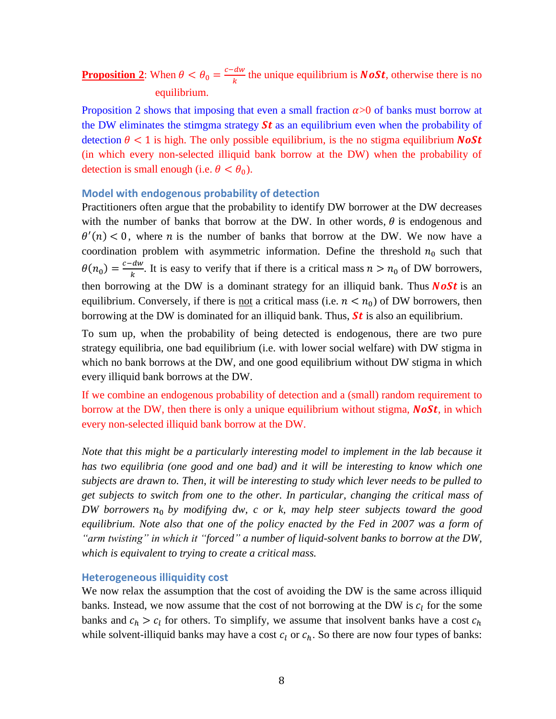#### **Proposition 2**: When  $\theta < \theta_0 = \frac{c}{c}$  $\frac{u_w}{k}$  the unique equilibrium is **NoSt**, otherwise there is no equilibrium.

Proposition 2 shows that imposing that even a small fraction  $\alpha$  >0 of banks must borrow at the DW eliminates the stimgma strategy  $St$  as an equilibrium even when the probability of detection  $\theta$  < 1 is high. The only possible equilibrium, is the no stigma equilibrium **NoSt** (in which every non-selected illiquid bank borrow at the DW) when the probability of detection is small enough (i.e.  $\theta < \theta_0$ ).

#### **Model with endogenous probability of detection**

Practitioners often argue that the probability to identify DW borrower at the DW decreases with the number of banks that borrow at the DW. In other words,  $\theta$  is endogenous and  $\theta'(n)$  < 0, where *n* is the number of banks that borrow at the DW. We now have a coordination problem with asymmetric information. Define the threshold  $n_0$  such that  $\theta(n_0) = \frac{c}{\sqrt{2}}$  $\frac{du}{k}$ . It is easy to verify that if there is a critical mass  $n > n_0$  of DW borrowers, then borrowing at the DW is a dominant strategy for an illiquid bank. Thus **NoSt** is an equilibrium. Conversely, if there is <u>not</u> a critical mass (i.e.  $n < n_0$ ) of DW borrowers, then borrowing at the DW is dominated for an illiquid bank. Thus,  $St$  is also an equilibrium.

To sum up, when the probability of being detected is endogenous, there are two pure strategy equilibria, one bad equilibrium (i.e. with lower social welfare) with DW stigma in which no bank borrows at the DW, and one good equilibrium without DW stigma in which every illiquid bank borrows at the DW.

If we combine an endogenous probability of detection and a (small) random requirement to borrow at the DW, then there is only a unique equilibrium without stigma,  $\textit{NoSt}$ , in which every non-selected illiquid bank borrow at the DW.

*Note that this might be a particularly interesting model to implement in the lab because it has two equilibria (one good and one bad) and it will be interesting to know which one subjects are drawn to. Then, it will be interesting to study which lever needs to be pulled to get subjects to switch from one to the other. In particular, changing the critical mass of DW borrowers by modifying dw, c or k, may help steer subjects toward the good equilibrium. Note also that one of the policy enacted by the Fed in 2007 was a form of "arm twisting" in which it "forced" a number of liquid-solvent banks to borrow at the DW, which is equivalent to trying to create a critical mass.*

#### **Heterogeneous illiquidity cost**

We now relax the assumption that the cost of avoiding the DW is the same across illiquid banks. Instead, we now assume that the cost of not borrowing at the DW is  $c_l$  for the some banks and  $c_h > c_l$  for others. To simplify, we assume that insolvent banks have a cost while solvent-illiquid banks may have a cost  $c_l$  or  $c_h$ . So there are now four types of banks: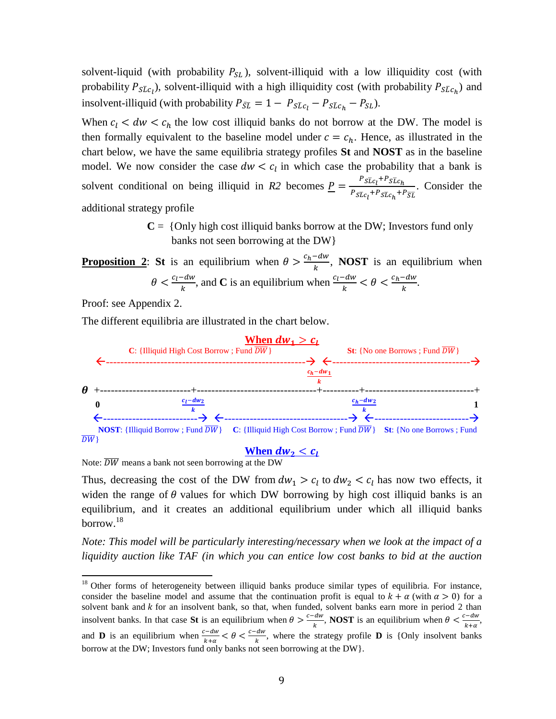solvent-liquid (with probability  $P_{SL}$ ), solvent-illiquid with a low illiquidity cost (with probability  $P_{S\bar{L}c}$ , solvent-illiquid with a high illiquidity cost (with probability  $P_{S\bar{L}c}$ ) and insolvent-illiquid (with probability  $P_{\overline{S}\overline{L}} = 1 - P_{S\overline{L}c_1} - P_{S\overline{L}c_h} - P_{SL}$ ).

When  $c_l < dw < c_h$  the low cost illiquid banks do not borrow at the DW. The model is then formally equivalent to the baseline model under  $c = c<sub>h</sub>$ . Hence, as illustrated in the chart below, we have the same equilibria strategy profiles **St** and **NOST** as in the baseline model. We now consider the case  $dw < c_l$  in which case the probability that a bank is solvent conditional on being illiquid in *R2* becomes  $P = \frac{P_{SLC_1}}{P_{SLC_2}}$  $\frac{SL_{l}}{P_{S\bar{L}C_{l}}+P_{S\bar{L}C_{l}}+P_{\overline{S}\bar{L}}}$ . Consider the additional strategy profile

> $C = \{Only high cost illiquid banks borrow at the DW; Investors fund only$ banks not seen borrowing at the DW}

**Proposition 2:** St is an equilibrium when  $\theta > \frac{c}{\epsilon}$  $\frac{du}{k}$ , **NOST** is an equilibrium when  $\theta < \frac{c}{\tau}$  $\frac{c_d - dw}{k}$ , and **C** is an equilibrium when  $\frac{c_l - dw}{k} < \theta < \frac{c_l - dw}{k}$  $\frac{-uw}{k}$ .

Proof: see Appendix 2.

 $\overline{a}$ 

The different equilibria are illustrated in the chart below.



Note:  $\overline{DW}$  means a bank not seen borrowing at the DW

Thus, decreasing the cost of the DW from  $dw_1 > c_l$  to  $dw_2 < c_l$  has now two effects, it widen the range of  $\theta$  values for which DW borrowing by high cost illiquid banks is an equilibrium, and it creates an additional equilibrium under which all illiquid banks borrow.<sup>18</sup>

*Note: This model will be particularly interesting/necessary when we look at the impact of a liquidity auction like TAF (in which you can entice low cost banks to bid at the auction* 

<sup>&</sup>lt;sup>18</sup> Other forms of heterogeneity between illiquid banks produce similar types of equilibria. For instance, consider the baseline model and assume that the continuation profit is equal to  $k + \alpha$  (with  $\alpha > 0$ ) for a solvent bank and  $k$  for an insolvent bank, so that, when funded, solvent banks earn more in period 2 than insolvent banks. In that case **St** is an equilibrium when  $\theta > \frac{c}{\pi}$  $\frac{dw}{k}$ , **NOST** is an equilibrium when  $\theta < \frac{c}{k}$  $\frac{-uw}{k+\alpha}$ , and **D** is an equilibrium when  $\frac{c-dw}{k+\alpha} < \theta < \frac{c}{n}$  $\frac{dw}{k}$ , where the strategy profile **D** is {Only insolvent banks borrow at the DW; Investors fund only banks not seen borrowing at the DW}.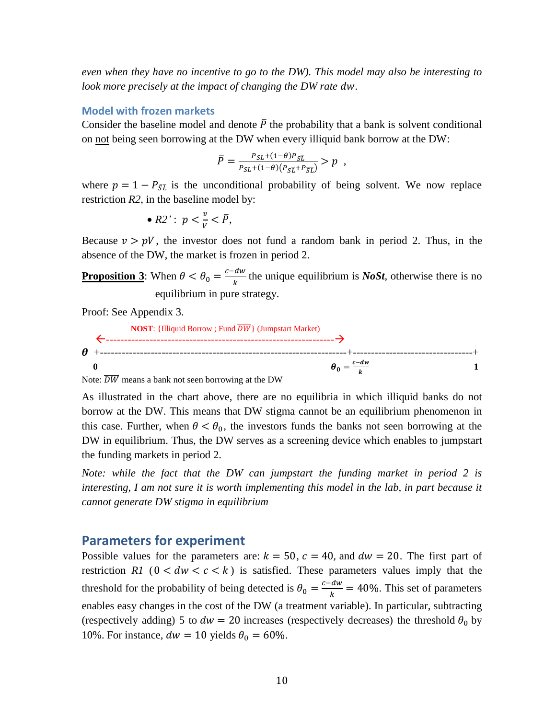*even when they have no incentive to go to the DW). This model may also be interesting to look more precisely at the impact of changing the DW rate dw.* 

#### **Model with frozen markets**

Consider the baseline model and denote  $\overline{P}$  the probability that a bank is solvent conditional on not being seen borrowing at the DW when every illiquid bank borrow at the DW:

$$
\bar{P} = \frac{P_{SL} + (1-\theta)P_{SL}}{P_{SL} + (1-\theta)(P_{SL} + P_{SL})} > p \quad ,
$$

where  $p = 1 - P_{\overline{SL}}$  is the unconditional probability of being solvent. We now replace restriction *R2*, in the baseline model by:

• 
$$
R2'
$$
:  $p < \frac{v}{V} < \overline{P}$ ,

Because  $v > pV$ , the investor does not fund a random bank in period 2. Thus, in the absence of the DW, the market is frozen in period 2.

**Proposition 3**: When  $\theta < \theta_0 = \frac{c}{c}$  $\frac{du}{k}$  the unique equilibrium is *NoSt*, otherwise there is no equilibrium in pure strategy.

Proof: See Appendix 3.



Note:  $\overline{DW}$  means a bank not seen borrowing at the DW

As illustrated in the chart above, there are no equilibria in which illiquid banks do not borrow at the DW. This means that DW stigma cannot be an equilibrium phenomenon in this case. Further, when  $\theta < \theta_0$ , the investors funds the banks not seen borrowing at the DW in equilibrium. Thus, the DW serves as a screening device which enables to jumpstart the funding markets in period 2.

*Note: while the fact that the DW can jumpstart the funding market in period 2 is interesting, I am not sure it is worth implementing this model in the lab, in part because it cannot generate DW stigma in equilibrium*

### **Parameters for experiment**

Possible values for the parameters are:  $k = 50$ ,  $c = 40$ , and  $dw = 20$ . The first part of restriction *R1* ( $0 < dw < c < k$ ) is satisfied. These parameters values imply that the threshold for the probability of being detected is  $\theta_0 = \frac{c}{\sqrt{a}}$  $\frac{u_w}{k}$  = 40%. This set of parameters enables easy changes in the cost of the DW (a treatment variable). In particular, subtracting (respectively adding) 5 to  $dw = 20$  increases (respectively decreases) the threshold  $\theta_0$  by 10%. For instance,  $dw = 10$  yields  $\theta_0 = 60\%$ .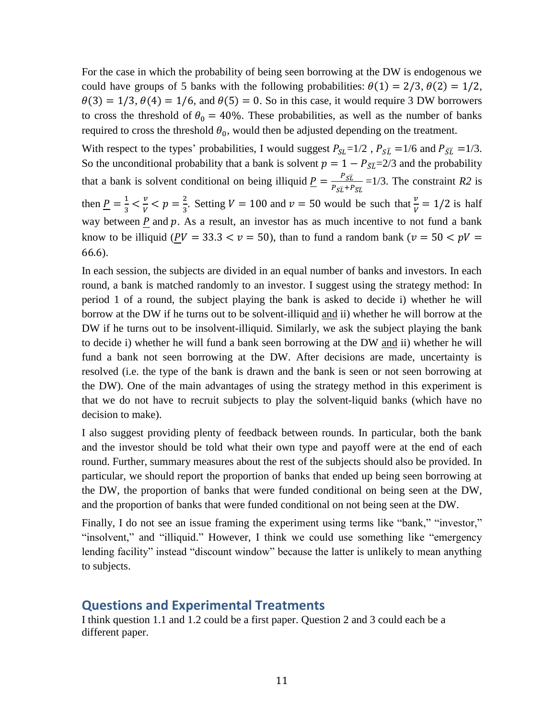For the case in which the probability of being seen borrowing at the DW is endogenous we could have groups of 5 banks with the following probabilities:  $\theta(1) = 2/3$ ,  $\theta(2) = 1/2$ ,  $\theta(3) = 1/3$ ,  $\theta(4) = 1/6$ , and  $\theta(5) = 0$ . So in this case, it would require 3 DW borrowers to cross the threshold of  $\theta_0 = 40\%$ . These probabilities, as well as the number of banks required to cross the threshold  $\theta_0$ , would then be adjusted depending on the treatment.

With respect to the types' probabilities, I would suggest  $P_{SL} = 1/2$ ,  $P_{SL} = 1/6$  and  $P_{\overline{SL}} = 1/3$ . So the unconditional probability that a bank is solvent  $p=1-P_{\overline{SL}}=2/3$  and the probability that a bank is solvent conditional on being illiquid  $\underline{P} = \frac{P}{R}$  $\frac{r_{SL}}{P_{ST}+P_{ST}}$  =1/3. The constraint *R2* is then  $\underline{P} = \frac{1}{2}$  $\frac{1}{3} < \frac{v}{V}$  $\frac{v}{V}$  <  $p = \frac{2}{3}$  $\frac{2}{3}$ . Setting  $V = 100$  and  $v = 50$  would be such that  $\frac{v}{V} = 1/2$  is half way between  $\underline{P}$  and  $\overline{p}$ . As a result, an investor has as much incentive to not fund a bank know to be illiquid ( $PV = 33.3 < v = 50$ ), than to fund a random bank ( $v = 50 < pV =$ 66.6).

In each session, the subjects are divided in an equal number of banks and investors. In each round, a bank is matched randomly to an investor. I suggest using the strategy method: In period 1 of a round, the subject playing the bank is asked to decide i) whether he will borrow at the DW if he turns out to be solvent-illiquid and ii) whether he will borrow at the DW if he turns out to be insolvent-illiquid. Similarly, we ask the subject playing the bank to decide i) whether he will fund a bank seen borrowing at the DW and ii) whether he will fund a bank not seen borrowing at the DW. After decisions are made, uncertainty is resolved (i.e. the type of the bank is drawn and the bank is seen or not seen borrowing at the DW). One of the main advantages of using the strategy method in this experiment is that we do not have to recruit subjects to play the solvent-liquid banks (which have no decision to make).

I also suggest providing plenty of feedback between rounds. In particular, both the bank and the investor should be told what their own type and payoff were at the end of each round. Further, summary measures about the rest of the subjects should also be provided. In particular, we should report the proportion of banks that ended up being seen borrowing at the DW, the proportion of banks that were funded conditional on being seen at the DW, and the proportion of banks that were funded conditional on not being seen at the DW.

Finally, I do not see an issue framing the experiment using terms like "bank," "investor," "insolvent," and "illiquid." However, I think we could use something like "emergency lending facility" instead "discount window" because the latter is unlikely to mean anything to subjects.

## **Questions and Experimental Treatments**

I think question 1.1 and 1.2 could be a first paper. Question 2 and 3 could each be a different paper.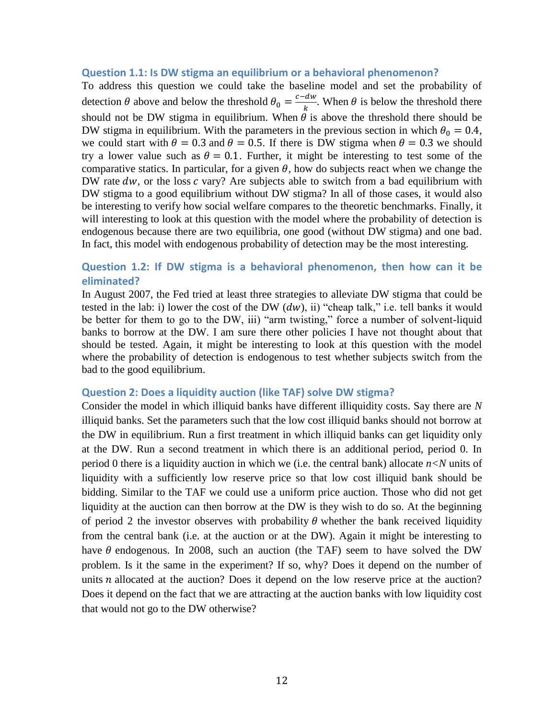#### **Question 1.1: Is DW stigma an equilibrium or a behavioral phenomenon?**

To address this question we could take the baseline model and set the probability of detection  $\theta$  above and below the threshold  $\theta_0 = \frac{c}{\sqrt{a}}$  $\frac{du}{k}$ . When  $\theta$  is below the threshold there should not be DW stigma in equilibrium. When  $\theta$  is above the threshold there should be DW stigma in equilibrium. With the parameters in the previous section in which  $\theta_0 = 0.4$ , we could start with  $\theta = 0.3$  and  $\theta = 0.5$ . If there is DW stigma when  $\theta = 0.3$  we should try a lower value such as  $\theta = 0.1$ . Further, it might be interesting to test some of the comparative statics. In particular, for a given  $\theta$ , how do subjects react when we change the DW rate  $dw$ , or the loss c vary? Are subjects able to switch from a bad equilibrium with DW stigma to a good equilibrium without DW stigma? In all of those cases, it would also be interesting to verify how social welfare compares to the theoretic benchmarks. Finally, it will interesting to look at this question with the model where the probability of detection is endogenous because there are two equilibria, one good (without DW stigma) and one bad. In fact, this model with endogenous probability of detection may be the most interesting.

## **Question 1.2: If DW stigma is a behavioral phenomenon, then how can it be eliminated?**

In August 2007, the Fed tried at least three strategies to alleviate DW stigma that could be tested in the lab: i) lower the cost of the DW  $(dw)$ , ii) "cheap talk," i.e. tell banks it would be better for them to go to the DW, iii) "arm twisting," force a number of solvent-liquid banks to borrow at the DW. I am sure there other policies I have not thought about that should be tested. Again, it might be interesting to look at this question with the model where the probability of detection is endogenous to test whether subjects switch from the bad to the good equilibrium.

#### **Question 2: Does a liquidity auction (like TAF) solve DW stigma?**

Consider the model in which illiquid banks have different illiquidity costs. Say there are *N* illiquid banks. Set the parameters such that the low cost illiquid banks should not borrow at the DW in equilibrium. Run a first treatment in which illiquid banks can get liquidity only at the DW. Run a second treatment in which there is an additional period, period 0. In period 0 there is a liquidity auction in which we (i.e. the central bank) allocate  $n < N$  units of liquidity with a sufficiently low reserve price so that low cost illiquid bank should be bidding. Similar to the TAF we could use a uniform price auction. Those who did not get liquidity at the auction can then borrow at the DW is they wish to do so. At the beginning of period 2 the investor observes with probability  $\theta$  whether the bank received liquidity from the central bank (i.e. at the auction or at the DW). Again it might be interesting to have  $\theta$  endogenous. In 2008, such an auction (the TAF) seem to have solved the DW problem. Is it the same in the experiment? If so, why? Does it depend on the number of units  $n$  allocated at the auction? Does it depend on the low reserve price at the auction? Does it depend on the fact that we are attracting at the auction banks with low liquidity cost that would not go to the DW otherwise?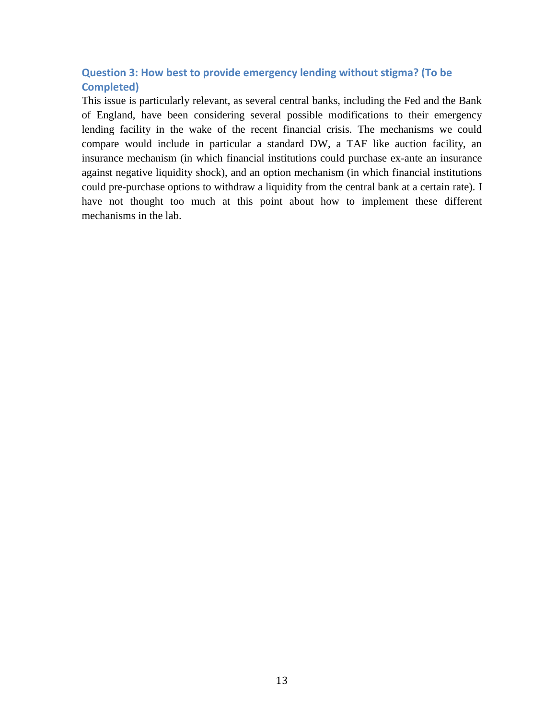## **Question 3: How best to provide emergency lending without stigma? (To be Completed)**

This issue is particularly relevant, as several central banks, including the Fed and the Bank of England, have been considering several possible modifications to their emergency lending facility in the wake of the recent financial crisis. The mechanisms we could compare would include in particular a standard DW, a TAF like auction facility, an insurance mechanism (in which financial institutions could purchase ex-ante an insurance against negative liquidity shock), and an option mechanism (in which financial institutions could pre-purchase options to withdraw a liquidity from the central bank at a certain rate). I have not thought too much at this point about how to implement these different mechanisms in the lab.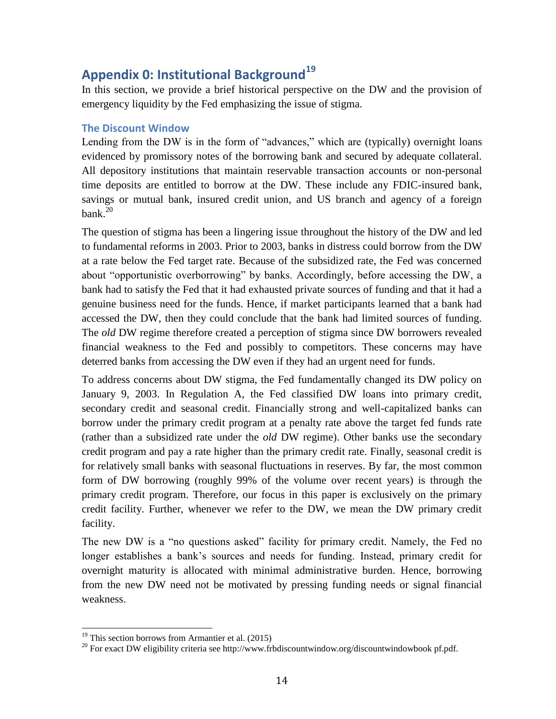## **Appendix 0: Institutional Background<sup>19</sup>**

In this section, we provide a brief historical perspective on the DW and the provision of emergency liquidity by the Fed emphasizing the issue of stigma.

### **The Discount Window**

Lending from the DW is in the form of "advances," which are (typically) overnight loans evidenced by promissory notes of the borrowing bank and secured by adequate collateral. All depository institutions that maintain reservable transaction accounts or non-personal time deposits are entitled to borrow at the DW. These include any FDIC-insured bank, savings or mutual bank, insured credit union, and US branch and agency of a foreign  $bank<sup>20</sup>$ 

The question of stigma has been a lingering issue throughout the history of the DW and led to fundamental reforms in 2003. Prior to 2003, banks in distress could borrow from the DW at a rate below the Fed target rate. Because of the subsidized rate, the Fed was concerned about "opportunistic overborrowing" by banks. Accordingly, before accessing the DW, a bank had to satisfy the Fed that it had exhausted private sources of funding and that it had a genuine business need for the funds. Hence, if market participants learned that a bank had accessed the DW, then they could conclude that the bank had limited sources of funding. The *old* DW regime therefore created a perception of stigma since DW borrowers revealed financial weakness to the Fed and possibly to competitors. These concerns may have deterred banks from accessing the DW even if they had an urgent need for funds.

To address concerns about DW stigma, the Fed fundamentally changed its DW policy on January 9, 2003. In Regulation A, the Fed classified DW loans into primary credit, secondary credit and seasonal credit. Financially strong and well-capitalized banks can borrow under the primary credit program at a penalty rate above the target fed funds rate (rather than a subsidized rate under the *old* DW regime). Other banks use the secondary credit program and pay a rate higher than the primary credit rate. Finally, seasonal credit is for relatively small banks with seasonal fluctuations in reserves. By far, the most common form of DW borrowing (roughly 99% of the volume over recent years) is through the primary credit program. Therefore, our focus in this paper is exclusively on the primary credit facility. Further, whenever we refer to the DW, we mean the DW primary credit facility.

The new DW is a "no questions asked" facility for primary credit. Namely, the Fed no longer establishes a bank's sources and needs for funding. Instead, primary credit for overnight maturity is allocated with minimal administrative burden. Hence, borrowing from the new DW need not be motivated by pressing funding needs or signal financial weakness.

l

 $19$  This section borrows from Armantier et al. (2015)

 $^{20}$  For exact DW eligibility criteria see http://www.frbdiscountwindow.org/discountwindowbook pf.pdf.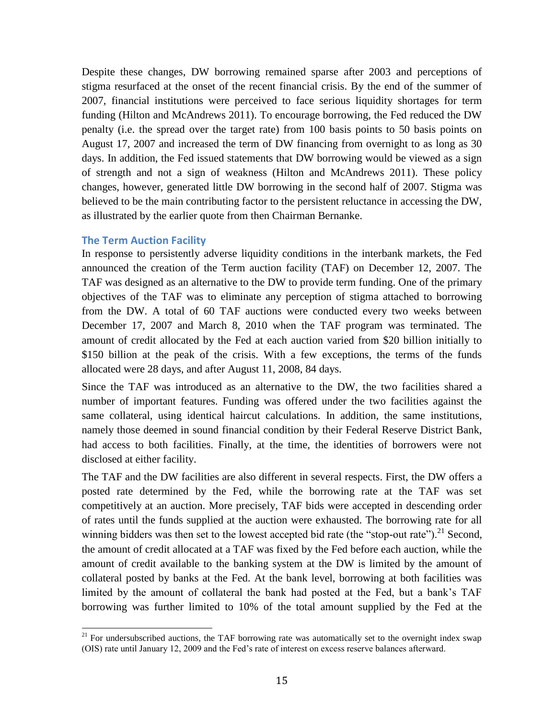Despite these changes, DW borrowing remained sparse after 2003 and perceptions of stigma resurfaced at the onset of the recent financial crisis. By the end of the summer of 2007, financial institutions were perceived to face serious liquidity shortages for term funding (Hilton and McAndrews 2011). To encourage borrowing, the Fed reduced the DW penalty (i.e. the spread over the target rate) from 100 basis points to 50 basis points on August 17, 2007 and increased the term of DW financing from overnight to as long as 30 days. In addition, the Fed issued statements that DW borrowing would be viewed as a sign of strength and not a sign of weakness (Hilton and McAndrews 2011). These policy changes, however, generated little DW borrowing in the second half of 2007. Stigma was believed to be the main contributing factor to the persistent reluctance in accessing the DW, as illustrated by the earlier quote from then Chairman Bernanke.

### **The Term Auction Facility**

l

In response to persistently adverse liquidity conditions in the interbank markets, the Fed announced the creation of the Term auction facility (TAF) on December 12, 2007. The TAF was designed as an alternative to the DW to provide term funding. One of the primary objectives of the TAF was to eliminate any perception of stigma attached to borrowing from the DW. A total of 60 TAF auctions were conducted every two weeks between December 17, 2007 and March 8, 2010 when the TAF program was terminated. The amount of credit allocated by the Fed at each auction varied from \$20 billion initially to \$150 billion at the peak of the crisis. With a few exceptions, the terms of the funds allocated were 28 days, and after August 11, 2008, 84 days.

Since the TAF was introduced as an alternative to the DW, the two facilities shared a number of important features. Funding was offered under the two facilities against the same collateral, using identical haircut calculations. In addition, the same institutions, namely those deemed in sound financial condition by their Federal Reserve District Bank, had access to both facilities. Finally, at the time, the identities of borrowers were not disclosed at either facility.

The TAF and the DW facilities are also different in several respects. First, the DW offers a posted rate determined by the Fed, while the borrowing rate at the TAF was set competitively at an auction. More precisely, TAF bids were accepted in descending order of rates until the funds supplied at the auction were exhausted. The borrowing rate for all winning bidders was then set to the lowest accepted bid rate (the "stop-out rate"). $^{21}$  Second, the amount of credit allocated at a TAF was fixed by the Fed before each auction, while the amount of credit available to the banking system at the DW is limited by the amount of collateral posted by banks at the Fed. At the bank level, borrowing at both facilities was limited by the amount of collateral the bank had posted at the Fed, but a bank's TAF borrowing was further limited to 10% of the total amount supplied by the Fed at the

 $21$  For undersubscribed auctions, the TAF borrowing rate was automatically set to the overnight index swap (OIS) rate until January 12, 2009 and the Fed's rate of interest on excess reserve balances afterward.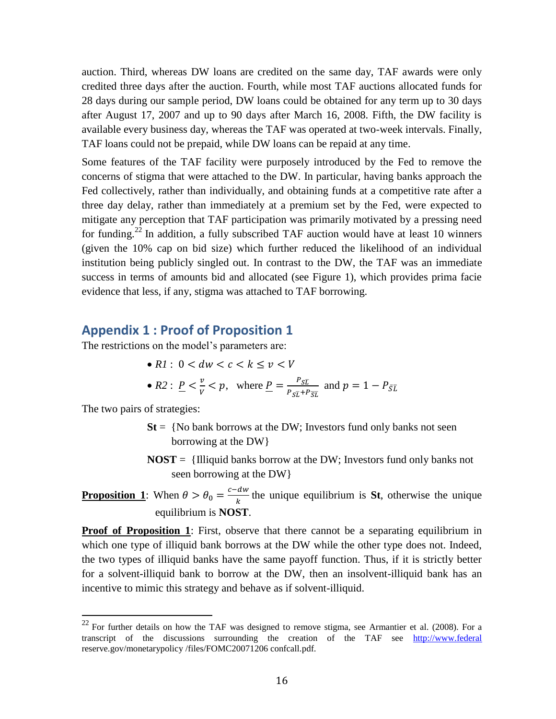auction. Third, whereas DW loans are credited on the same day, TAF awards were only credited three days after the auction. Fourth, while most TAF auctions allocated funds for 28 days during our sample period, DW loans could be obtained for any term up to 30 days after August 17, 2007 and up to 90 days after March 16, 2008. Fifth, the DW facility is available every business day, whereas the TAF was operated at two-week intervals. Finally, TAF loans could not be prepaid, while DW loans can be repaid at any time.

Some features of the TAF facility were purposely introduced by the Fed to remove the concerns of stigma that were attached to the DW. In particular, having banks approach the Fed collectively, rather than individually, and obtaining funds at a competitive rate after a three day delay, rather than immediately at a premium set by the Fed, were expected to mitigate any perception that TAF participation was primarily motivated by a pressing need for funding.<sup>22</sup> In addition, a fully subscribed TAF auction would have at least 10 winners (given the 10% cap on bid size) which further reduced the likelihood of an individual institution being publicly singled out. In contrast to the DW, the TAF was an immediate success in terms of amounts bid and allocated (see Figure 1), which provides prima facie evidence that less, if any, stigma was attached to TAF borrowing.

## **Appendix 1 : Proof of Proposition 1**

The restrictions on the model's parameters are:

•  $R1: 0 \leq dw \leq c \leq k \leq v \leq V$ 

• 
$$
R2: \underline{P} < \frac{v}{V} < p
$$
, where  $\underline{P} = \frac{P_{SL}}{P_{SL} + P_{SL}}$  and  $p = 1 - P_{\overline{SL}}$ .

The two pairs of strategies:

 $\overline{a}$ 

- $St = \{No bank borrows at the DW; Investors fund only banks not seen$ borrowing at the DW}
- **NOST** = {Illiquid banks borrow at the DW; Investors fund only banks not seen borrowing at the DW}

**Proposition 1**: When  $\theta > \theta_0 = \frac{c}{\theta_0}$  $\frac{du}{k}$  the unique equilibrium is **St**, otherwise the unique equilibrium is **NOST**.

**Proof of Proposition 1:** First, observe that there cannot be a separating equilibrium in which one type of illiquid bank borrows at the DW while the other type does not. Indeed, the two types of illiquid banks have the same payoff function. Thus, if it is strictly better for a solvent-illiquid bank to borrow at the DW, then an insolvent-illiquid bank has an incentive to mimic this strategy and behave as if solvent-illiquid.

 $^{22}$  For further details on how the TAF was designed to remove stigma, see Armantier et al. (2008). For a transcript of the discussions surrounding the creation of the TAF see [http://www.federal](http://www.federal/) reserve.gov/monetarypolicy /files/FOMC20071206 confcall.pdf.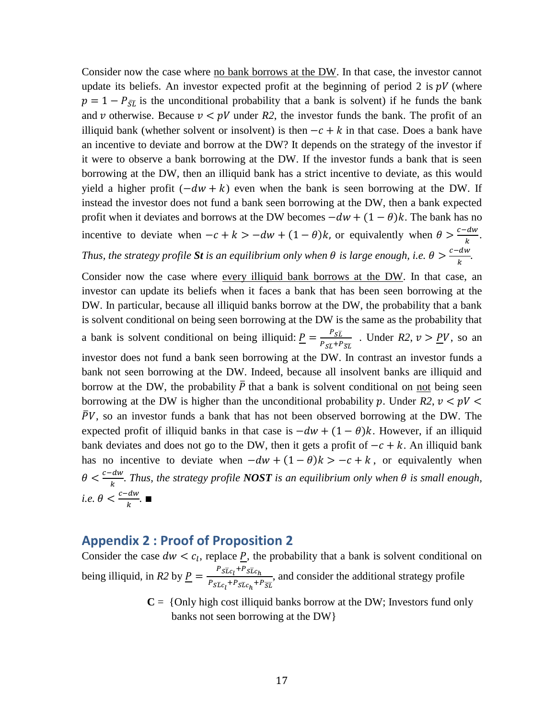Consider now the case where no bank borrows at the DW. In that case, the investor cannot update its beliefs. An investor expected profit at the beginning of period 2 is  $pV$  (where  $p = 1 - P_{\overline{S}}$  is the unconditional probability that a bank is solvent) if he funds the bank and v otherwise. Because  $v \lt pV$  under R2, the investor funds the bank. The profit of an illiquid bank (whether solvent or insolvent) is then  $-c + k$  in that case. Does a bank have an incentive to deviate and borrow at the DW? It depends on the strategy of the investor if it were to observe a bank borrowing at the DW. If the investor funds a bank that is seen borrowing at the DW, then an illiquid bank has a strict incentive to deviate, as this would yield a higher profit  $(-dw + k)$  even when the bank is seen borrowing at the DW. If instead the investor does not fund a bank seen borrowing at the DW, then a bank expected profit when it deviates and borrows at the DW becomes  $-dw + (1 - \theta)k$ . The bank has no incentive to deviate when  $-c + k > -dw + (1 - \theta)k$ , or equivalently when  $\theta > \frac{c}{2}$  $\frac{u}{k}$ . *Thus, the strategy profile St is an equilibrium only when*  $\theta$  *is large enough, i.e.*  $\theta > \frac{c}{\tau}$  $\frac{u}{k}$ .

Consider now the case where every illiquid bank borrows at the DW. In that case, an investor can update its beliefs when it faces a bank that has been seen borrowing at the DW. In particular, because all illiquid banks borrow at the DW, the probability that a bank is solvent conditional on being seen borrowing at the DW is the same as the probability that a bank is solvent conditional on being illiquid:  $P = \frac{P}{R}$  $\frac{r_{SL}}{P_{ST}+P_{ST}}$ . Under *R2*,  $v > \underline{PV}$ , so an investor does not fund a bank seen borrowing at the DW. In contrast an investor funds a bank not seen borrowing at the DW. Indeed, because all insolvent banks are illiquid and borrow at the DW, the probability  $\bar{P}$  that a bank is solvent conditional on not being seen borrowing at the DW is higher than the unconditional probability p. Under  $R2$ ,  $v < pV$  $\overline{P}V$ , so an investor funds a bank that has not been observed borrowing at the DW. The expected profit of illiquid banks in that case is  $-dw + (1 - \theta)k$ . However, if an illiquid bank deviates and does not go to the DW, then it gets a profit of  $-c + k$ . An illiquid bank has no incentive to deviate when  $-dw + (1 - \theta)k > -c + k$ , or equivalently when  $\theta < \frac{c}{\tau}$  $\frac{u}{k}$ . Thus, the strategy profile *NOST* is an equilibrium only when  $\theta$  is small enough, *i.e.*  $\theta < \frac{c}{c}$  $\frac{u}{k}$ .  $\blacksquare$ 

## **Appendix 2 : Proof of Proposition 2**

Consider the case  $dw < c_l$ , replace P, the probability that a bank is solvent conditional on being illiquid, in *R2* by  $\underline{P} = \frac{P_{SLc_l} + P_{SLc_l}}{P_{SLc_l}}$  $\frac{SL_{l}}{P_{SL_{l}}+P_{SL_{l}}+P_{SL}}$ , and consider the additional strategy profile

> $C = \{Only high cost illiquid banks borrow at the DW; Investors fund only$ banks not seen borrowing at the DW}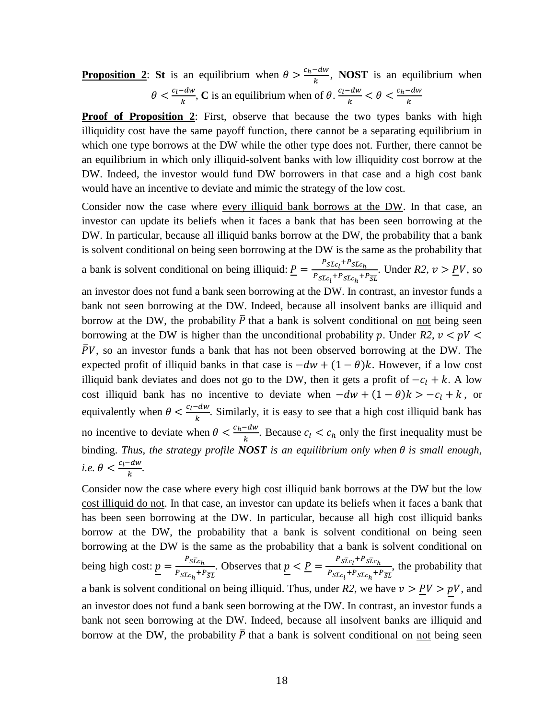**Proposition 2:** St is an equilibrium when  $\theta > \frac{c}{\epsilon}$  $\frac{du}{dx}$ , **NOST** is an equilibrium when  $\theta < \frac{c}{\tau}$  $\frac{e^{-dw}}{k}$ , **C** is an equilibrium when of  $\theta$ .  $\frac{-dw}{k} < \theta < \frac{c}{k}$  $\boldsymbol{k}$ 

**Proof of Proposition 2**: First, observe that because the two types banks with high illiquidity cost have the same payoff function, there cannot be a separating equilibrium in which one type borrows at the DW while the other type does not. Further, there cannot be an equilibrium in which only illiquid-solvent banks with low illiquidity cost borrow at the DW. Indeed, the investor would fund DW borrowers in that case and a high cost bank would have an incentive to deviate and mimic the strategy of the low cost.

Consider now the case where every illiquid bank borrows at the DW. In that case, an investor can update its beliefs when it faces a bank that has been seen borrowing at the DW. In particular, because all illiquid banks borrow at the DW, the probability that a bank is solvent conditional on being seen borrowing at the DW is the same as the probability that a bank is solvent conditional on being illiquid:  $P = \frac{P_{SLC_l}}{P_{SLC_l}}$  $\frac{S_{Lc_l} - S_{Lc_h}}{P_{S_{Lc_r}} + P_{S_{Lc_s}} + P_{S_{Lc_s}}}$ . Under *R2*,  $v > \underline{PV}$ , so an investor does not fund a bank seen borrowing at the DW. In contrast, an investor funds a bank not seen borrowing at the DW. Indeed, because all insolvent banks are illiquid and borrow at the DW, the probability  $\overline{P}$  that a bank is solvent conditional on not being seen borrowing at the DW is higher than the unconditional probability p. Under  $R2$ ,  $v < pV$  $\overline{P}V$ , so an investor funds a bank that has not been observed borrowing at the DW. The expected profit of illiquid banks in that case is  $-dw + (1 - \theta)k$ . However, if a low cost illiquid bank deviates and does not go to the DW, then it gets a profit of  $-c<sub>l</sub> + k$ . A low cost illiquid bank has no incentive to deviate when  $-dw + (1 - \theta)k > -c_1 + k$ , or equivalently when  $\theta < \frac{c}{c}$  $\frac{du}{k}$ . Similarly, it is easy to see that a high cost illiquid bank has no incentive to deviate when  $\theta < \frac{c}{\pi}$  $\frac{c_{uw}}{k}$ . Because  $c_l < c_h$  only the first inequality must be binding. Thus, the strategy profile **NOST** is an equilibrium only when  $\theta$  is small enough, *i.e.*  $\theta < \frac{c}{c}$  $\frac{-uw}{k}$ .

Consider now the case where every high cost illiquid bank borrows at the DW but the low cost illiquid do not. In that case, an investor can update its beliefs when it faces a bank that has been seen borrowing at the DW. In particular, because all high cost illiquid banks borrow at the DW, the probability that a bank is solvent conditional on being seen borrowing at the DW is the same as the probability that a bank is solvent conditional on being high cost:  $p = \frac{p}{r}$  $\frac{P_{\bar{SIC}_h}}{P_{\bar{SIC}_c} + P_{\bar{SIC}}}$ . Observes that  $\underline{p} < \underline{P} = \frac{P_{\bar{SIC}_l} + P_{\bar{SIC}_l}}{P_{\bar{SIC}_c} + P_{\bar{SIC}_l}}$  $\frac{F_{SLC_1} - SL_{R_1}}{F_{SLC_2} + F_{SLC_2}}$ , the probability that a bank is solvent conditional on being illiquid. Thus, under  $R2$ , we have  $v > PV > pV$ , and an investor does not fund a bank seen borrowing at the DW. In contrast, an investor funds a bank not seen borrowing at the DW. Indeed, because all insolvent banks are illiquid and borrow at the DW, the probability  $\overline{P}$  that a bank is solvent conditional on not being seen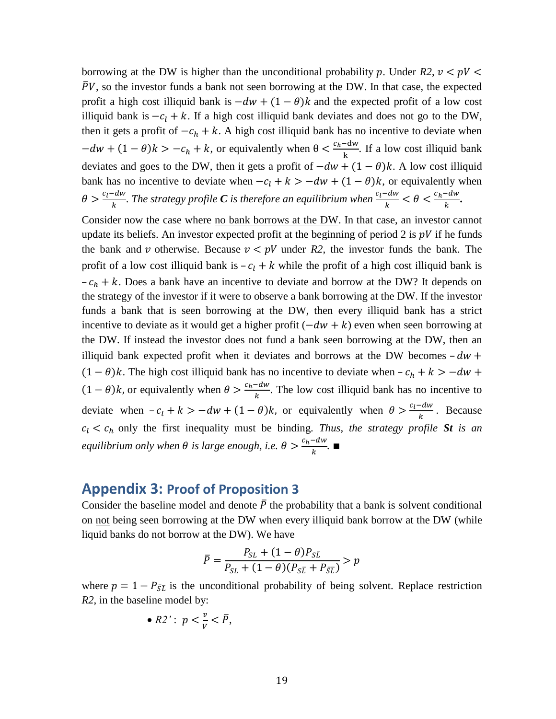borrowing at the DW is higher than the unconditional probability p. Under  $R2$ ,  $v < pV$  $\overline{P}V$ , so the investor funds a bank not seen borrowing at the DW. In that case, the expected profit a high cost illiquid bank is  $-dw + (1 - \theta)k$  and the expected profit of a low cost illiquid bank is  $-c_l + k$ . If a high cost illiquid bank deviates and does not go to the DW, then it gets a profit of  $-c_h + k$ . A high cost illiquid bank has no incentive to deviate when  $-dw + (1 - \theta)k > -c_h + k$ , or equivalently when  $\theta < \frac{c}{h}$  $\frac{2\pi}{k}$ . If a low cost illiquid bank deviates and goes to the DW, then it gets a profit of  $-dw + (1 - \theta)k$ . A low cost illiquid bank has no incentive to deviate when  $-c_l + k > -dw + (1 - \theta)k$ , or equivalently when  $\theta > \frac{c}{c}$  $\frac{e^{-dw}}{k}$ . The strategy profile C is therefore an equilibrium when  $\frac{c_l - dw}{k} < \theta < \frac{c_l - dw}{k}$  $\frac{-uw}{k}$ .

Consider now the case where no bank borrows at the DW. In that case, an investor cannot update its beliefs. An investor expected profit at the beginning of period 2 is  $pV$  if he funds the bank and v otherwise. Because  $v < pV$  under R2, the investor funds the bank. The profit of a low cost illiquid bank is  $-c_l + k$  while the profit of a high cost illiquid bank is  $-c_h + k$ . Does a bank have an incentive to deviate and borrow at the DW? It depends on the strategy of the investor if it were to observe a bank borrowing at the DW. If the investor funds a bank that is seen borrowing at the DW, then every illiquid bank has a strict incentive to deviate as it would get a higher profit  $(-dw + k)$  even when seen borrowing at the DW. If instead the investor does not fund a bank seen borrowing at the DW, then an illiquid bank expected profit when it deviates and borrows at the DW becomes  $-dw +$  $(1 - \theta)k$ . The high cost illiquid bank has no incentive to deviate when  $-c_h + k > -dw$  +  $(1 - \theta)k$ , or equivalently when  $\theta > \frac{c}{k}$  $\frac{2\pi}{k}$ . The low cost illiquid bank has no incentive to deviate when  $-c_l + k > -dw + (1 - \theta)k$ , or equivalently when  $\theta > \frac{c}{2}$  $\frac{e^{2}uw}{k}$ . Because  $c_l < c_h$  only the first inequality must be binding. *Thus, the strategy profile St is an equilibrium only when*  $\theta$  *is large enough, i.e.*  $\theta > \frac{c}{\tau}$  $\frac{-aw}{k}$ .  $\blacksquare$ 

## **Appendix 3: Proof of Proposition 3**

Consider the baseline model and denote  $\overline{P}$  the probability that a bank is solvent conditional on not being seen borrowing at the DW when every illiquid bank borrow at the DW (while liquid banks do not borrow at the DW). We have

$$
\bar{P} = \frac{P_{SL} + (1 - \theta)P_{SL}}{P_{SL} + (1 - \theta)(P_{SL} + P_{\bar{SL}})} > p
$$

where  $p = 1 - P_{\overline{S}}\overline{L}$  is the unconditional probability of being solvent. Replace restriction *R2*, in the baseline model by:

• 
$$
R2'
$$
:  $p < \frac{v}{v} < \overline{P}$ ,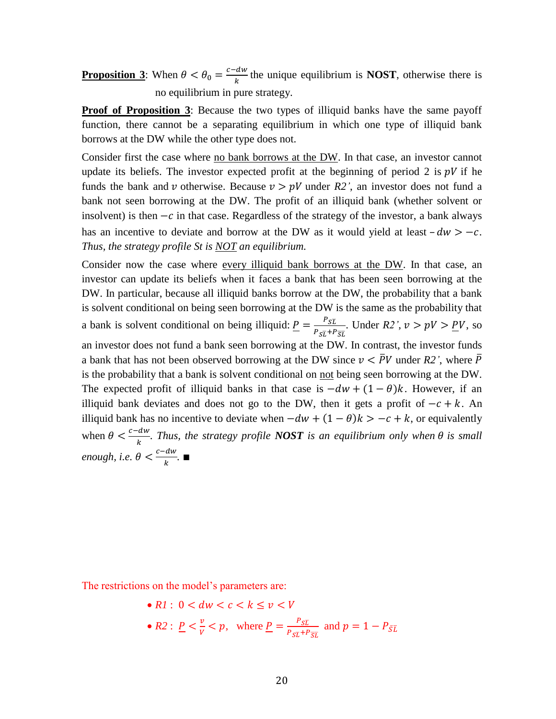**Proposition 3**: When  $\theta < \theta_0 = \frac{c}{\theta_0}$  $\frac{du}{k}$  the unique equilibrium is **NOST**, otherwise there is no equilibrium in pure strategy.

**Proof of Proposition 3**: Because the two types of illiquid banks have the same payoff function, there cannot be a separating equilibrium in which one type of illiquid bank borrows at the DW while the other type does not.

Consider first the case where no bank borrows at the DW. In that case, an investor cannot update its beliefs. The investor expected profit at the beginning of period 2 is  $pV$  if he funds the bank and v otherwise. Because  $v > pV$  under R2', an investor does not fund a bank not seen borrowing at the DW. The profit of an illiquid bank (whether solvent or insolvent) is then  $-c$  in that case. Regardless of the strategy of the investor, a bank always has an incentive to deviate and borrow at the DW as it would yield at least  $-dw > -c$ . *Thus, the strategy profile St is NOT an equilibrium.* 

Consider now the case where every illiquid bank borrows at the DW. In that case, an investor can update its beliefs when it faces a bank that has been seen borrowing at the DW. In particular, because all illiquid banks borrow at the DW, the probability that a bank is solvent conditional on being seen borrowing at the DW is the same as the probability that a bank is solvent conditional on being illiquid:  $P = \frac{P}{R}$  $\frac{r_{SL}}{P_{ST}+P_{ST}}$ . Under *R2'*,  $v > pV > pV$ , so an investor does not fund a bank seen borrowing at the DW. In contrast, the investor funds a bank that has not been observed borrowing at the DW since  $\nu < \bar{P}V$  under R2', where  $\bar{P}$ is the probability that a bank is solvent conditional on not being seen borrowing at the DW. The expected profit of illiquid banks in that case is  $-dw + (1 - \theta)k$ . However, if an illiquid bank deviates and does not go to the DW, then it gets a profit of  $-c + k$ . An illiquid bank has no incentive to deviate when  $-dw + (1 - \theta)k > -c + k$ , or equivalently when  $\theta < \frac{c}{c}$  $\frac{u}{k}$ . Thus, the strategy profile *NOST* is an equilibrium only when  $\theta$  is small *enough, i.e.*  $\theta < \frac{c}{\tau}$  $\frac{u}{k}$ .  $\blacksquare$ 

The restrictions on the model's parameters are:

\n- $$
\bullet
$$
 *R1*:  $0 < dw < c < k \leq v < V$
\n- $\bullet$  *R2*:  $\underline{P} < \frac{v}{V} < p$ , where  $\underline{P} = \frac{P_{SL}}{P_{ST} + P_{ST}}$  and  $p = 1 - P_{\overline{SL}}$
\n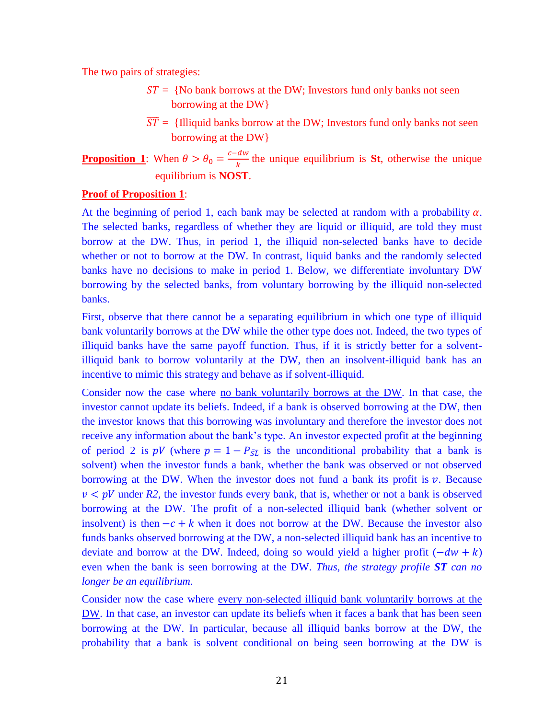The two pairs of strategies:

- $ST = {No bank borrows at the DW; Investors fund only banks not seen}$ borrowing at the DW}
- $\overline{ST}$  = {Illiquid banks borrow at the DW; Investors fund only banks not seen borrowing at the DW}

**Proposition 1**: When  $\theta > \theta_0 = \frac{c}{\theta_0}$  $\frac{du}{k}$  the unique equilibrium is **St**, otherwise the unique equilibrium is **NOST**.

### **Proof of Proposition 1**:

At the beginning of period 1, each bank may be selected at random with a probability  $\alpha$ . The selected banks, regardless of whether they are liquid or illiquid, are told they must borrow at the DW. Thus, in period 1, the illiquid non-selected banks have to decide whether or not to borrow at the DW. In contrast, liquid banks and the randomly selected banks have no decisions to make in period 1. Below, we differentiate involuntary DW borrowing by the selected banks, from voluntary borrowing by the illiquid non-selected banks.

First, observe that there cannot be a separating equilibrium in which one type of illiquid bank voluntarily borrows at the DW while the other type does not. Indeed, the two types of illiquid banks have the same payoff function. Thus, if it is strictly better for a solventilliquid bank to borrow voluntarily at the DW, then an insolvent-illiquid bank has an incentive to mimic this strategy and behave as if solvent-illiquid.

Consider now the case where no bank voluntarily borrows at the DW. In that case, the investor cannot update its beliefs. Indeed, if a bank is observed borrowing at the DW, then the investor knows that this borrowing was involuntary and therefore the investor does not receive any information about the bank's type. An investor expected profit at the beginning of period 2 is pV (where  $p = 1 - P_{\overline{S}\overline{L}}$  is the unconditional probability that a bank is solvent) when the investor funds a bank, whether the bank was observed or not observed borrowing at the DW. When the investor does not fund a bank its profit is  $\nu$ . Because  $v < pV$  under R2, the investor funds every bank, that is, whether or not a bank is observed borrowing at the DW. The profit of a non-selected illiquid bank (whether solvent or insolvent) is then  $-c + k$  when it does not borrow at the DW. Because the investor also funds banks observed borrowing at the DW, a non-selected illiquid bank has an incentive to deviate and borrow at the DW. Indeed, doing so would yield a higher profit  $(-dw + k)$ even when the bank is seen borrowing at the DW. *Thus, the strategy profile ST can no longer be an equilibrium.*

Consider now the case where every non-selected illiquid bank voluntarily borrows at the DW. In that case, an investor can update its beliefs when it faces a bank that has been seen borrowing at the DW. In particular, because all illiquid banks borrow at the DW, the probability that a bank is solvent conditional on being seen borrowing at the DW is